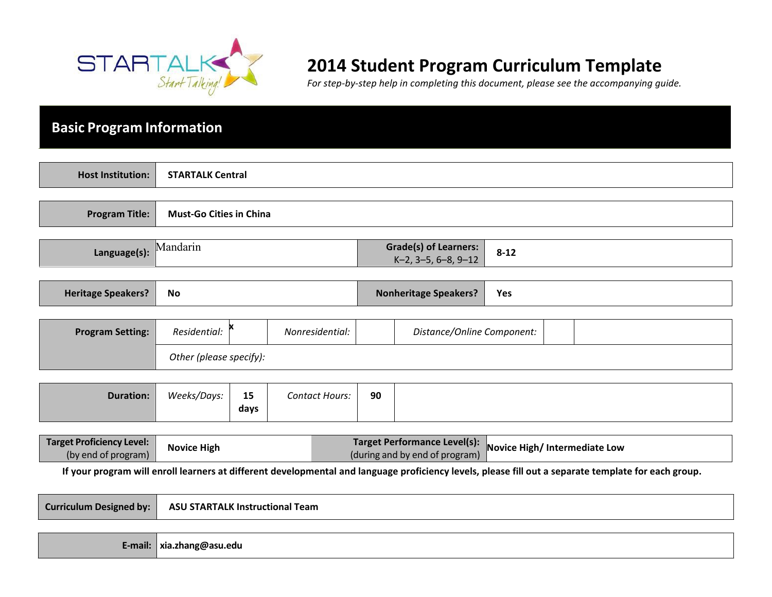

# **2014 Student Program Curriculum Template**

*For step-by-step help in completing this document, please see the accompanying guide.*

# **Basic Program Information**

| <b>Host Institution:</b>                                | <b>STARTALK Central</b> |                                |                 |                              |     |                                                                       |                               |  |
|---------------------------------------------------------|-------------------------|--------------------------------|-----------------|------------------------------|-----|-----------------------------------------------------------------------|-------------------------------|--|
|                                                         |                         |                                |                 |                              |     |                                                                       |                               |  |
| <b>Program Title:</b>                                   |                         | <b>Must-Go Cities in China</b> |                 |                              |     |                                                                       |                               |  |
|                                                         |                         |                                |                 |                              |     |                                                                       |                               |  |
| Language(s):                                            | Mandarin                |                                |                 |                              |     | <b>Grade(s) of Learners:</b><br>$K-2$ , 3-5, 6-8, 9-12                | $8 - 12$                      |  |
|                                                         |                         |                                |                 |                              |     |                                                                       |                               |  |
| <b>Heritage Speakers?</b>                               | No                      |                                |                 | <b>Nonheritage Speakers?</b> | Yes |                                                                       |                               |  |
|                                                         |                         |                                |                 |                              |     |                                                                       |                               |  |
| <b>Program Setting:</b>                                 | Residential: K          |                                | Nonresidential: |                              |     | Distance/Online Component:                                            |                               |  |
|                                                         | Other (please specify): |                                |                 |                              |     |                                                                       |                               |  |
|                                                         |                         |                                |                 |                              |     |                                                                       |                               |  |
| <b>Duration:</b>                                        | Weeks/Days:             | 15<br>days                     |                 | <b>Contact Hours:</b>        | 90  |                                                                       |                               |  |
|                                                         |                         |                                |                 |                              |     |                                                                       |                               |  |
| <b>Target Proficiency Level:</b><br>(by end of program) | <b>Novice High</b>      |                                |                 |                              |     | <b>Target Performance Level(s):</b><br>(during and by end of program) | Novice High/ Intermediate Low |  |

If your program will enroll learners at different developmental and language proficiency levels, please fill out a separate template for each group.

| <b>Curriculum Designed by:</b> | <b>ASU STARTALK Instructional Team</b> |
|--------------------------------|----------------------------------------|
|--------------------------------|----------------------------------------|

|  | E-mail: xia.zhang@asu.edu |
|--|---------------------------|
|--|---------------------------|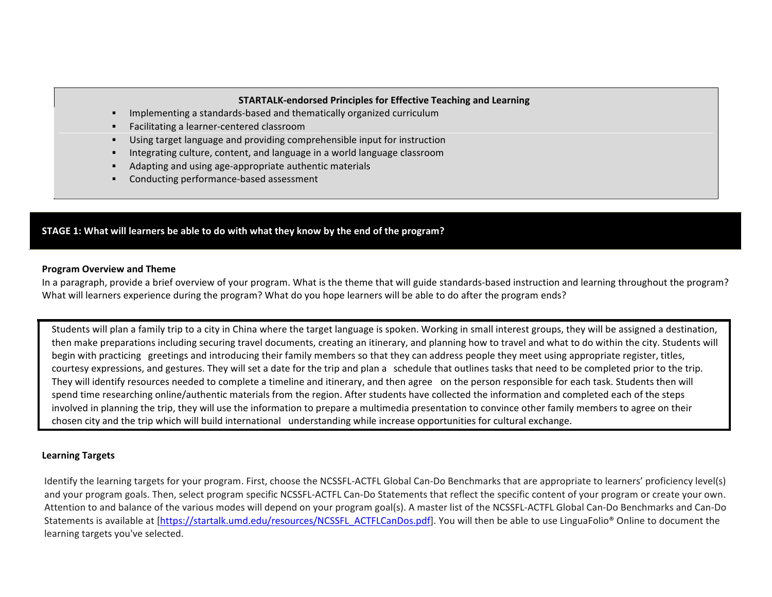### **STARTALK-endorsed Principles for Effective Teaching and Learning**

- Implementing a standards-based and thematically organized curriculum
- Facilitating a learner-centered classroom
- Using target language and providing comprehensible input for instruction
- Integrating culture, content, and language in a world language classroom
- Adapting and using age-appropriate authentic materials
- § Conducting performance-based assessment

# **STAGE 1: What will learners be able to do with what they know by the end of the program?**

### **Program Overview and Theme**

In a paragraph, provide a brief overview of your program. What is the theme that will guide standards-based instruction and learning throughout the program? What will learners experience during the program? What do you hope learners will be able to do after the program ends?

Students will plan a family trip to a city in China where the target language is spoken. Working in small interest groups, they will be assigned a destination, then make preparations including securing travel documents, creating an itinerary, and planning how to travel and what to do within the city. Students will begin with practicing greetings and introducing their family members so that they can address people they meet using appropriate register, titles, courtesy expressions, and gestures. They will set a date for the trip and plan a schedule that outlines tasks that need to be completed prior to the trip. They will identify resources needed to complete a timeline and itinerary, and then agree on the person responsible for each task. Students then will spend time researching online/authentic materials from the region. After students have collected the information and completed each of the steps involved in planning the trip, they will use the information to prepare a multimedia presentation to convince other family members to agree on their chosen city and the trip which will build international understanding while increase opportunities for cultural exchange.

### **Learning Targets**

Identify the learning targets for your program. First, choose the NCSSFL-ACTFL Global Can-Do Benchmarks that are appropriate to learners' proficiency level(s) and your program goals. Then, select program specific NCSSFL-ACTFL Can-Do Statements that reflect the specific content of your program or create your own. Attention to and balance of the various modes will depend on your program goal(s). A master list of the NCSSFL-ACTFL Global Can-Do Benchmarks and Can-Do Statements is available at [https://startalk.umd.edu/resources/NCSSFL\_ACTFLCanDos.pdf]. You will then be able to use LinguaFolio® Online to document the learning targets you've selected.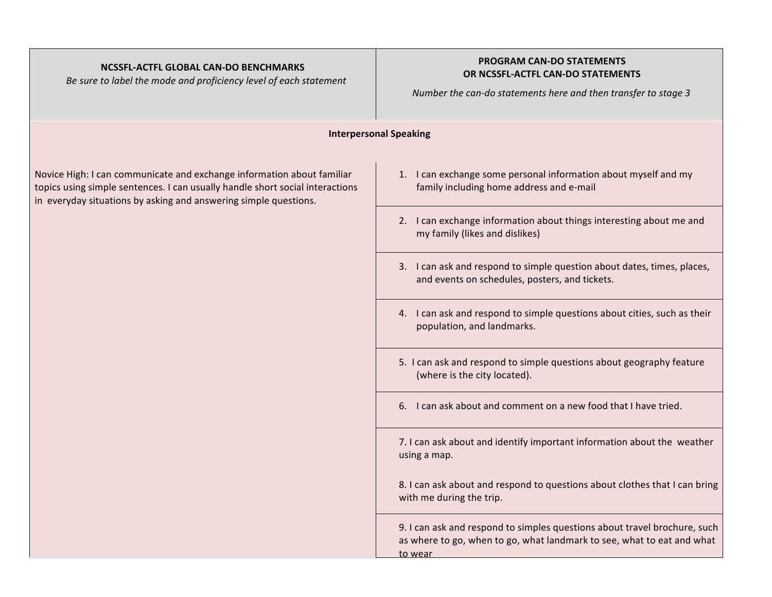# **NCSSFL-ACTFL GLOBAL CAN-DO BENCHMARKS** *Be sure to label the mode and proficiency level of each statement* **PROGRAM CAN-DO STATEMENTS OR NCSSFL-ACTFL CAN-DO STATEMENTS** *Number the can-do statements here and then transfer to stage 3* **Interpersonal Speaking** Novice High: I can communicate and exchange information about familiar topics using simple sentences. I can usually handle short social interactions in everyday situations by asking and answering simple questions. 1. I can exchange some personal information about myself and my family including home address and e-mail 2. I can exchange information about things interesting about me and my family (likes and dislikes) 3. I can ask and respond to simple question about dates, times, places, and events on schedules, posters, and tickets. 4. I can ask and respond to simple questions about cities, such as their population, and landmarks. 5. I can ask and respond to simple questions about geography feature (where is the city located). 6. I can ask about and comment on a new food that I have tried. 7. I can ask about and identify important information about the weather using a map. 8. I can ask about and respond to questions about clothes that I can bring with me during the trip. 9. I can ask and respond to simples questions about travel brochure, such as where to go, when to go, what landmark to see, what to eat and what to wear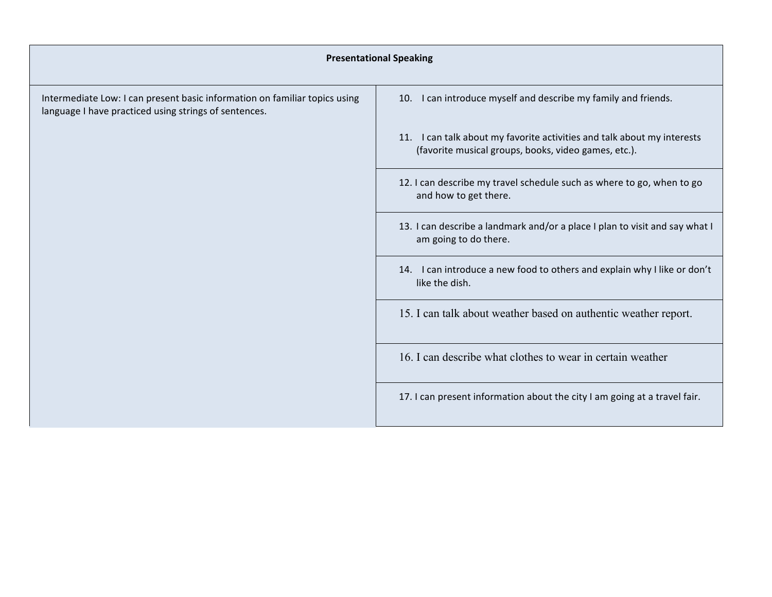| <b>Presentational Speaking</b>                                                                                                      |                                                                                                                                 |  |  |
|-------------------------------------------------------------------------------------------------------------------------------------|---------------------------------------------------------------------------------------------------------------------------------|--|--|
| Intermediate Low: I can present basic information on familiar topics using<br>language I have practiced using strings of sentences. | 10. I can introduce myself and describe my family and friends.                                                                  |  |  |
|                                                                                                                                     | 11. I can talk about my favorite activities and talk about my interests<br>(favorite musical groups, books, video games, etc.). |  |  |
|                                                                                                                                     | 12. I can describe my travel schedule such as where to go, when to go<br>and how to get there.                                  |  |  |
|                                                                                                                                     | 13. I can describe a landmark and/or a place I plan to visit and say what I<br>am going to do there.                            |  |  |
|                                                                                                                                     | 14. I can introduce a new food to others and explain why I like or don't<br>like the dish.                                      |  |  |
|                                                                                                                                     | 15. I can talk about weather based on authentic weather report.                                                                 |  |  |
|                                                                                                                                     | 16. I can describe what clothes to wear in certain weather                                                                      |  |  |
|                                                                                                                                     | 17. I can present information about the city I am going at a travel fair.                                                       |  |  |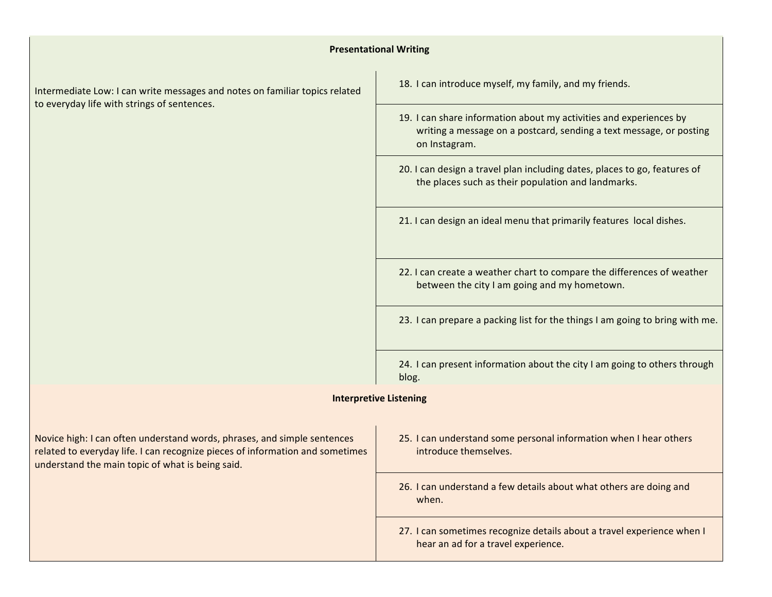| <b>Presentational Writing</b>                                                                                                                                                                                 |                                                                                                                                                            |  |  |  |
|---------------------------------------------------------------------------------------------------------------------------------------------------------------------------------------------------------------|------------------------------------------------------------------------------------------------------------------------------------------------------------|--|--|--|
| Intermediate Low: I can write messages and notes on familiar topics related                                                                                                                                   | 18. I can introduce myself, my family, and my friends.                                                                                                     |  |  |  |
| to everyday life with strings of sentences.                                                                                                                                                                   | 19. I can share information about my activities and experiences by<br>writing a message on a postcard, sending a text message, or posting<br>on Instagram. |  |  |  |
|                                                                                                                                                                                                               | 20. I can design a travel plan including dates, places to go, features of<br>the places such as their population and landmarks.                            |  |  |  |
|                                                                                                                                                                                                               | 21. I can design an ideal menu that primarily features local dishes.                                                                                       |  |  |  |
|                                                                                                                                                                                                               | 22. I can create a weather chart to compare the differences of weather<br>between the city I am going and my hometown.                                     |  |  |  |
|                                                                                                                                                                                                               | 23. I can prepare a packing list for the things I am going to bring with me.                                                                               |  |  |  |
|                                                                                                                                                                                                               | 24. I can present information about the city I am going to others through<br>blog.                                                                         |  |  |  |
|                                                                                                                                                                                                               | <b>Interpretive Listening</b>                                                                                                                              |  |  |  |
| Novice high: I can often understand words, phrases, and simple sentences<br>related to everyday life. I can recognize pieces of information and sometimes<br>understand the main topic of what is being said. | 25. I can understand some personal information when I hear others<br>introduce themselves.                                                                 |  |  |  |
|                                                                                                                                                                                                               | 26. I can understand a few details about what others are doing and<br>when.                                                                                |  |  |  |
|                                                                                                                                                                                                               | 27. I can sometimes recognize details about a travel experience when I<br>hear an ad for a travel experience.                                              |  |  |  |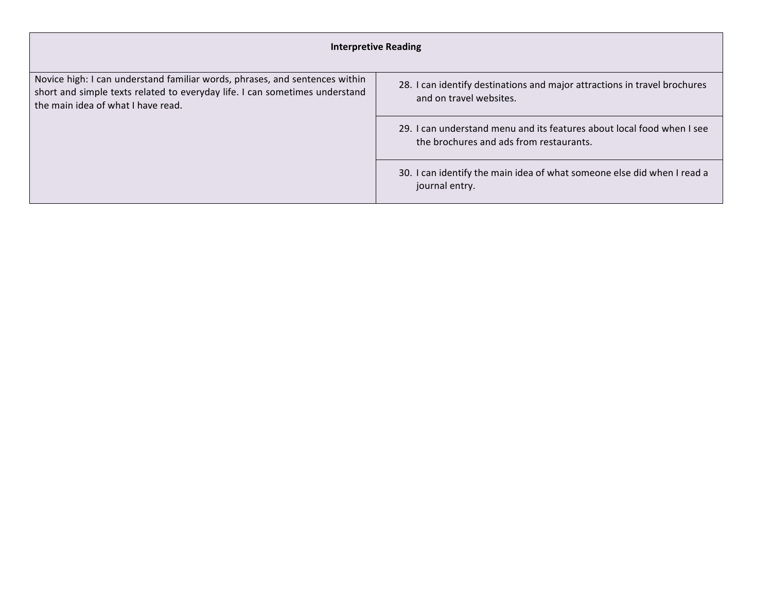| <b>Interpretive Reading</b>                                                                                                                                                                      |                                                                                                                   |  |  |
|--------------------------------------------------------------------------------------------------------------------------------------------------------------------------------------------------|-------------------------------------------------------------------------------------------------------------------|--|--|
| Novice high: I can understand familiar words, phrases, and sentences within<br>short and simple texts related to everyday life. I can sometimes understand<br>the main idea of what I have read. | 28. I can identify destinations and major attractions in travel brochures<br>and on travel websites.              |  |  |
|                                                                                                                                                                                                  | 29. I can understand menu and its features about local food when I see<br>the brochures and ads from restaurants. |  |  |
|                                                                                                                                                                                                  | 30. I can identify the main idea of what someone else did when I read a<br>journal entry.                         |  |  |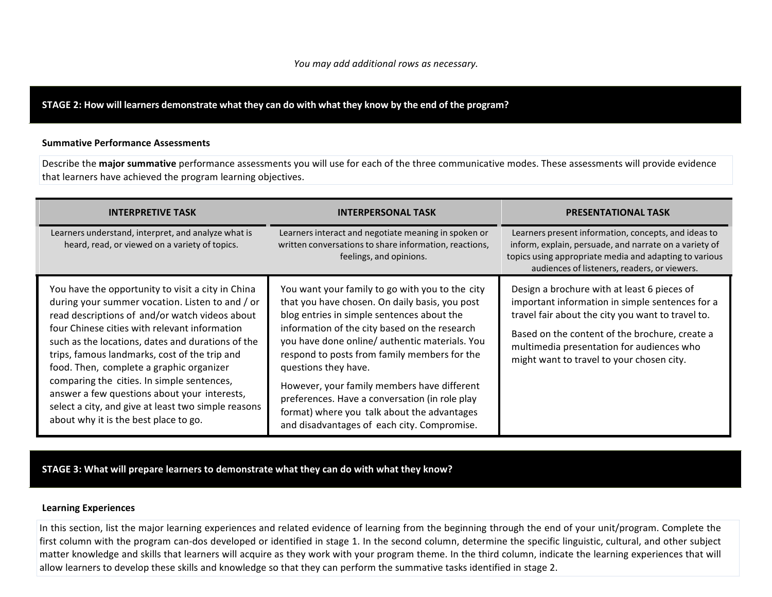# STAGE 2: How will learners demonstrate what they can do with what they know by the end of the program?

#### **Summative Performance Assessments**

Describe the major summative performance assessments you will use for each of the three communicative modes. These assessments will provide evidence that learners have achieved the program learning objectives.

| <b>INTERPRETIVE TASK</b>                                                                                                                                                                                                                                                                                                                                                                                                                                                                                                                                | <b>INTERPERSONAL TASK</b>                                                                                                                                                                                                                                                                                                                                                                                                                                                                                                 | <b>PRESENTATIONAL TASK</b>                                                                                                                                                                                                                                                                      |
|---------------------------------------------------------------------------------------------------------------------------------------------------------------------------------------------------------------------------------------------------------------------------------------------------------------------------------------------------------------------------------------------------------------------------------------------------------------------------------------------------------------------------------------------------------|---------------------------------------------------------------------------------------------------------------------------------------------------------------------------------------------------------------------------------------------------------------------------------------------------------------------------------------------------------------------------------------------------------------------------------------------------------------------------------------------------------------------------|-------------------------------------------------------------------------------------------------------------------------------------------------------------------------------------------------------------------------------------------------------------------------------------------------|
| Learners understand, interpret, and analyze what is<br>heard, read, or viewed on a variety of topics.                                                                                                                                                                                                                                                                                                                                                                                                                                                   | Learners interact and negotiate meaning in spoken or<br>written conversations to share information, reactions,<br>feelings, and opinions.                                                                                                                                                                                                                                                                                                                                                                                 | Learners present information, concepts, and ideas to<br>inform, explain, persuade, and narrate on a variety of<br>topics using appropriate media and adapting to various<br>audiences of listeners, readers, or viewers.                                                                        |
| You have the opportunity to visit a city in China<br>during your summer vocation. Listen to and / or<br>read descriptions of and/or watch videos about<br>four Chinese cities with relevant information<br>such as the locations, dates and durations of the<br>trips, famous landmarks, cost of the trip and<br>food. Then, complete a graphic organizer<br>comparing the cities. In simple sentences,<br>answer a few questions about your interests,<br>select a city, and give at least two simple reasons<br>about why it is the best place to go. | You want your family to go with you to the city<br>that you have chosen. On daily basis, you post<br>blog entries in simple sentences about the<br>information of the city based on the research<br>you have done online/ authentic materials. You<br>respond to posts from family members for the<br>questions they have.<br>However, your family members have different<br>preferences. Have a conversation (in role play<br>format) where you talk about the advantages<br>and disadvantages of each city. Compromise. | Design a brochure with at least 6 pieces of<br>important information in simple sentences for a<br>travel fair about the city you want to travel to.<br>Based on the content of the brochure, create a<br>multimedia presentation for audiences who<br>might want to travel to your chosen city. |

 $\Lambda$  and  $\Lambda$  is a tractational of the contribution of the contribution of the contribution of the contribution of the contribution of the contribution of the contribution of the contribution of the contribution of the co STAGE 3: What will prepare learners to demonstrate what they can do with what they know?

### **Learning Experiences**

In this section, list the major learning experiences and related evidence of learning from the beginning through the end of your unit/program. Complete the first column with the program can-dos developed or identified in stage 1. In the second column, determine the specific linguistic, cultural, and other subject matter knowledge and skills that learners will acquire as they work with your program theme. In the third column, indicate the learning experiences that will allow learners to develop these skills and knowledge so that they can perform the summative tasks identified in stage 2.

you are sponding to the comment of the comment of the comment of the comment of the comment of the comment of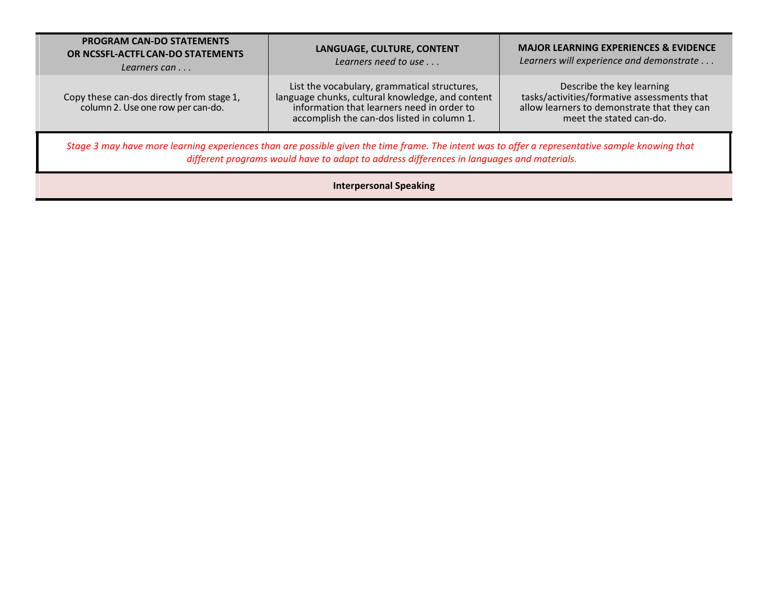| <b>PROGRAM CAN-DO STATEMENTS</b><br>OR NCSSFL-ACTFL CAN-DO STATEMENTS<br>Learners can $\dots$                                                                                                                                                | LANGUAGE, CULTURE, CONTENT<br>Learners need to use                                                                                                                                           | <b>MAJOR LEARNING EXPERIENCES &amp; EVIDENCE</b><br>Learners will experience and demonstrate                                                       |  |  |
|----------------------------------------------------------------------------------------------------------------------------------------------------------------------------------------------------------------------------------------------|----------------------------------------------------------------------------------------------------------------------------------------------------------------------------------------------|----------------------------------------------------------------------------------------------------------------------------------------------------|--|--|
| Copy these can-dos directly from stage 1,<br>column 2. Use one row per can-do.                                                                                                                                                               | List the vocabulary, grammatical structures,<br>language chunks, cultural knowledge, and content<br>information that learners need in order to<br>accomplish the can-dos listed in column 1. | Describe the key learning<br>tasks/activities/formative assessments that<br>allow learners to demonstrate that they can<br>meet the stated can-do. |  |  |
| Stage 3 may have more learning experiences than are possible given the time frame. The intent was to offer a representative sample knowing that<br>different programs would have to adapt to address differences in languages and materials. |                                                                                                                                                                                              |                                                                                                                                                    |  |  |

**Interpersonal Speaking**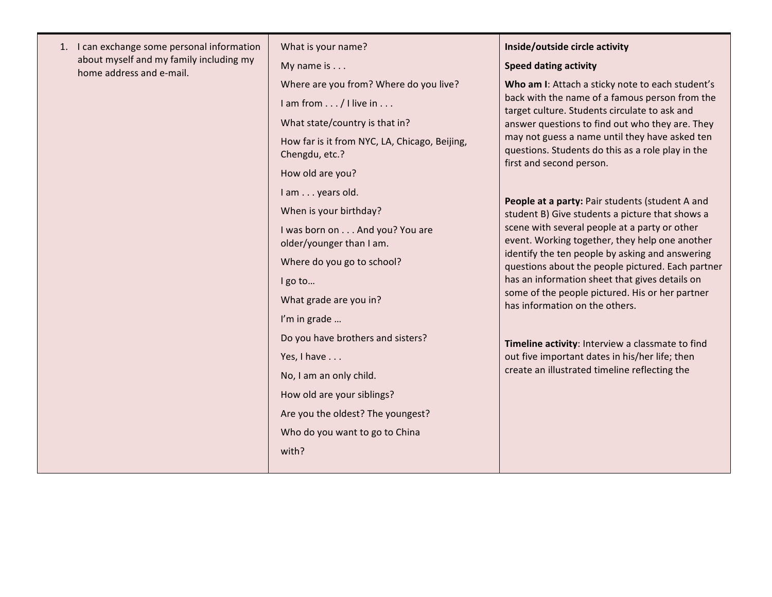| 1. I can exchange some personal information<br>about myself and my family including my | What is your name?<br>My name is $\dots$                                                                                                                                                                                                                                                                                                                                                                                                                                                                                                                     | Inside/outside circle activity<br><b>Speed dating activity</b>                                                                                                                                                                                                                                                                                                                                                                                                                                                                                                                                                                                                                                                                                                                                                                                                                                                                                           |
|----------------------------------------------------------------------------------------|--------------------------------------------------------------------------------------------------------------------------------------------------------------------------------------------------------------------------------------------------------------------------------------------------------------------------------------------------------------------------------------------------------------------------------------------------------------------------------------------------------------------------------------------------------------|----------------------------------------------------------------------------------------------------------------------------------------------------------------------------------------------------------------------------------------------------------------------------------------------------------------------------------------------------------------------------------------------------------------------------------------------------------------------------------------------------------------------------------------------------------------------------------------------------------------------------------------------------------------------------------------------------------------------------------------------------------------------------------------------------------------------------------------------------------------------------------------------------------------------------------------------------------|
| home address and e-mail.                                                               | Where are you from? Where do you live?<br>$l$ am from $\ldots$ / I live in $\ldots$<br>What state/country is that in?<br>How far is it from NYC, LA, Chicago, Beijing,<br>Chengdu, etc.?<br>How old are you?<br>I am years old.<br>When is your birthday?<br>I was born on And you? You are<br>older/younger than I am.<br>Where do you go to school?<br>I go to<br>What grade are you in?<br>I'm in grade<br>Do you have brothers and sisters?<br>Yes, I have<br>No, I am an only child.<br>How old are your siblings?<br>Are you the oldest? The youngest? | Who am I: Attach a sticky note to each student's<br>back with the name of a famous person from the<br>target culture. Students circulate to ask and<br>answer questions to find out who they are. They<br>may not guess a name until they have asked ten<br>questions. Students do this as a role play in the<br>first and second person.<br>People at a party: Pair students (student A and<br>student B) Give students a picture that shows a<br>scene with several people at a party or other<br>event. Working together, they help one another<br>identify the ten people by asking and answering<br>questions about the people pictured. Each partner<br>has an information sheet that gives details on<br>some of the people pictured. His or her partner<br>has information on the others.<br>Timeline activity: Interview a classmate to find<br>out five important dates in his/her life; then<br>create an illustrated timeline reflecting the |
|                                                                                        | Who do you want to go to China<br>with?                                                                                                                                                                                                                                                                                                                                                                                                                                                                                                                      |                                                                                                                                                                                                                                                                                                                                                                                                                                                                                                                                                                                                                                                                                                                                                                                                                                                                                                                                                          |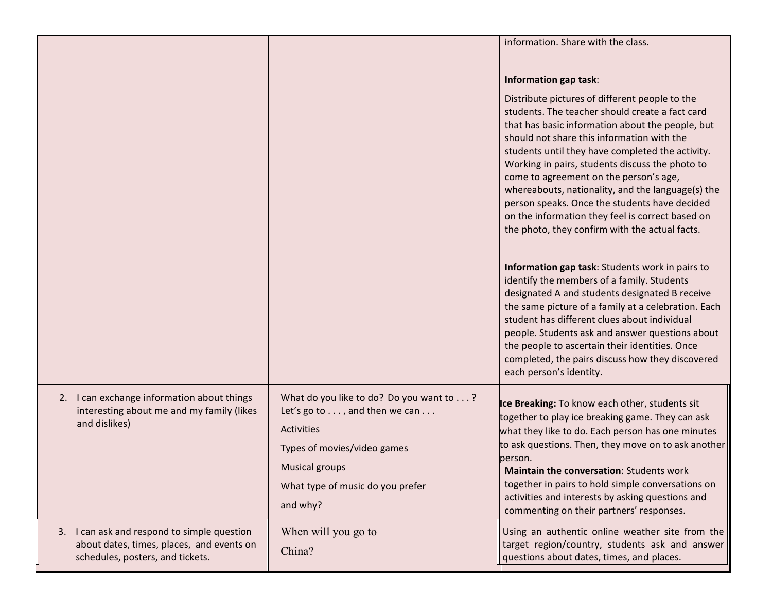|                                                                                                                              |                                                                                                                                                                                                | information. Share with the class.                                                                                                                                                                                                                                                                                                                                                                                                                                                                                                                               |
|------------------------------------------------------------------------------------------------------------------------------|------------------------------------------------------------------------------------------------------------------------------------------------------------------------------------------------|------------------------------------------------------------------------------------------------------------------------------------------------------------------------------------------------------------------------------------------------------------------------------------------------------------------------------------------------------------------------------------------------------------------------------------------------------------------------------------------------------------------------------------------------------------------|
|                                                                                                                              |                                                                                                                                                                                                | Information gap task:                                                                                                                                                                                                                                                                                                                                                                                                                                                                                                                                            |
|                                                                                                                              |                                                                                                                                                                                                | Distribute pictures of different people to the<br>students. The teacher should create a fact card<br>that has basic information about the people, but<br>should not share this information with the<br>students until they have completed the activity.<br>Working in pairs, students discuss the photo to<br>come to agreement on the person's age,<br>whereabouts, nationality, and the language(s) the<br>person speaks. Once the students have decided<br>on the information they feel is correct based on<br>the photo, they confirm with the actual facts. |
|                                                                                                                              |                                                                                                                                                                                                | Information gap task: Students work in pairs to<br>identify the members of a family. Students<br>designated A and students designated B receive<br>the same picture of a family at a celebration. Each<br>student has different clues about individual<br>people. Students ask and answer questions about<br>the people to ascertain their identities. Once<br>completed, the pairs discuss how they discovered<br>each person's identity.                                                                                                                       |
| 2. I can exchange information about things<br>interesting about me and my family (likes<br>and dislikes)                     | What do you like to do? Do you want to?<br>Let's go to , and then we can<br>Activities<br>Types of movies/video games<br><b>Musical groups</b><br>What type of music do you prefer<br>and why? | Ice Breaking: To know each other, students sit<br>together to play ice breaking game. They can ask<br>what they like to do. Each person has one minutes<br>to ask questions. Then, they move on to ask another<br>person.<br>Maintain the conversation: Students work<br>together in pairs to hold simple conversations on<br>activities and interests by asking questions and<br>commenting on their partners' responses.                                                                                                                                       |
| 3. I can ask and respond to simple question<br>about dates, times, places, and events on<br>schedules, posters, and tickets. | When will you go to<br>China?                                                                                                                                                                  | Using an authentic online weather site from the<br>target region/country, students ask and answer<br>questions about dates, times, and places.                                                                                                                                                                                                                                                                                                                                                                                                                   |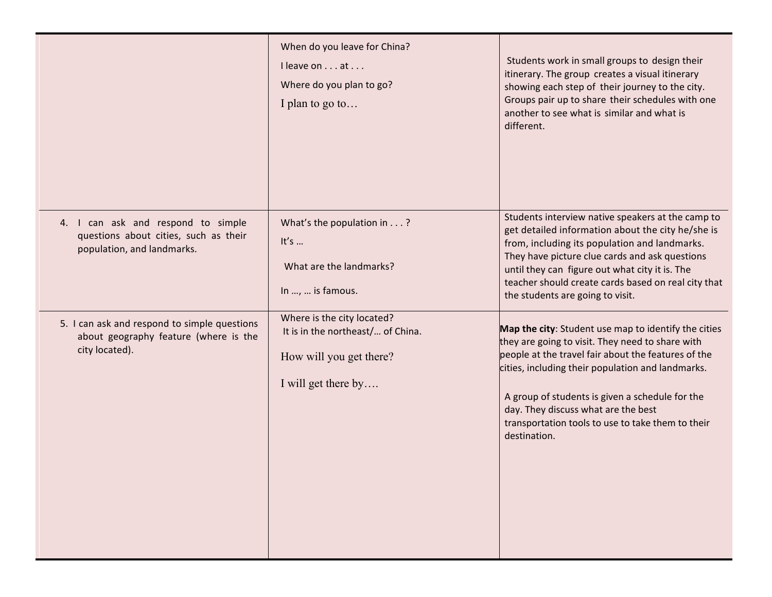|                                                                                                           | When do you leave for China?<br>I leave on at<br>Where do you plan to go?<br>I plan to go to                      | Students work in small groups to design their<br>itinerary. The group creates a visual itinerary<br>showing each step of their journey to the city.<br>Groups pair up to share their schedules with one<br>another to see what is similar and what is<br>different.                                                                                                                 |
|-----------------------------------------------------------------------------------------------------------|-------------------------------------------------------------------------------------------------------------------|-------------------------------------------------------------------------------------------------------------------------------------------------------------------------------------------------------------------------------------------------------------------------------------------------------------------------------------------------------------------------------------|
| 4. I can ask and respond to simple<br>questions about cities, such as their<br>population, and landmarks. | What's the population in?<br>It's $\ldots$<br>What are the landmarks?<br>In ,  is famous.                         | Students interview native speakers at the camp to<br>get detailed information about the city he/she is<br>from, including its population and landmarks.<br>They have picture clue cards and ask questions<br>until they can figure out what city it is. The<br>teacher should create cards based on real city that<br>the students are going to visit.                              |
| 5. I can ask and respond to simple questions<br>about geography feature (where is the<br>city located).   | Where is the city located?<br>It is in the northeast/ of China.<br>How will you get there?<br>I will get there by | Map the city: Student use map to identify the cities<br>they are going to visit. They need to share with<br>people at the travel fair about the features of the<br>cities, including their population and landmarks.<br>A group of students is given a schedule for the<br>day. They discuss what are the best<br>transportation tools to use to take them to their<br>destination. |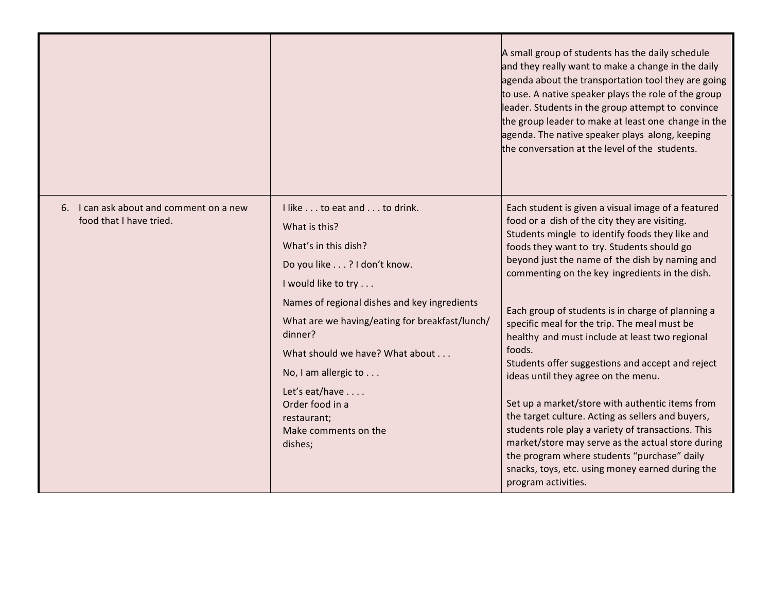|                                                                    |                                                                                                                                                                                                                                                                                                                                                                                          | A small group of students has the daily schedule<br>and they really want to make a change in the daily<br>agenda about the transportation tool they are going<br>to use. A native speaker plays the role of the group<br>leader. Students in the group attempt to convince<br>the group leader to make at least one change in the<br>agenda. The native speaker plays along, keeping<br>the conversation at the level of the students.                                                                                                                                                                                                                                                                                                                                                                                                                                                                            |
|--------------------------------------------------------------------|------------------------------------------------------------------------------------------------------------------------------------------------------------------------------------------------------------------------------------------------------------------------------------------------------------------------------------------------------------------------------------------|-------------------------------------------------------------------------------------------------------------------------------------------------------------------------------------------------------------------------------------------------------------------------------------------------------------------------------------------------------------------------------------------------------------------------------------------------------------------------------------------------------------------------------------------------------------------------------------------------------------------------------------------------------------------------------------------------------------------------------------------------------------------------------------------------------------------------------------------------------------------------------------------------------------------|
| 6. I can ask about and comment on a new<br>food that I have tried. | I like to eat and to drink.<br>What is this?<br>What's in this dish?<br>Do you like? I don't know.<br>I would like to try<br>Names of regional dishes and key ingredients<br>What are we having/eating for breakfast/lunch/<br>dinner?<br>What should we have? What about<br>No, I am allergic to<br>Let's eat/have<br>Order food in a<br>restaurant;<br>Make comments on the<br>dishes; | Each student is given a visual image of a featured<br>food or a dish of the city they are visiting.<br>Students mingle to identify foods they like and<br>foods they want to try. Students should go<br>beyond just the name of the dish by naming and<br>commenting on the key ingredients in the dish.<br>Each group of students is in charge of planning a<br>specific meal for the trip. The meal must be<br>healthy and must include at least two regional<br>foods.<br>Students offer suggestions and accept and reject<br>ideas until they agree on the menu.<br>Set up a market/store with authentic items from<br>the target culture. Acting as sellers and buyers,<br>students role play a variety of transactions. This<br>market/store may serve as the actual store during<br>the program where students "purchase" daily<br>snacks, toys, etc. using money earned during the<br>program activities. |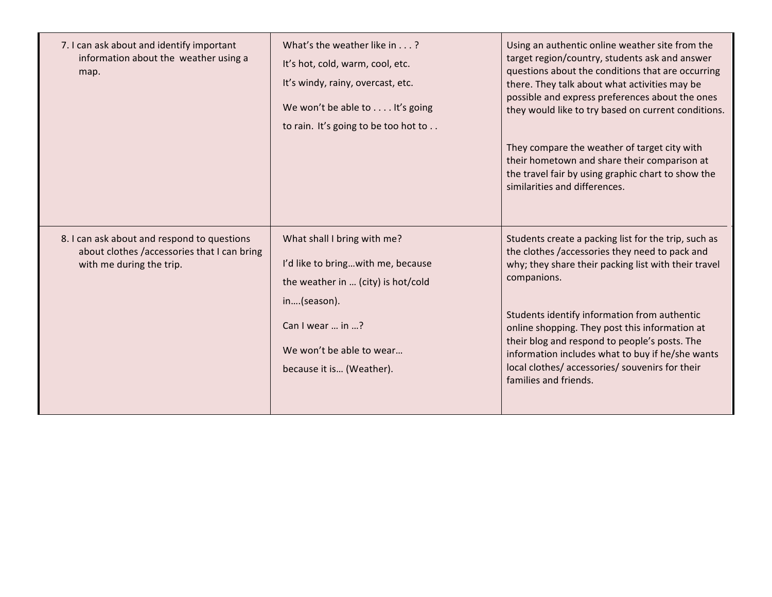| 7. I can ask about and identify important<br>information about the weather using a<br>map.                             | What's the weather like in?<br>It's hot, cold, warm, cool, etc.<br>It's windy, rainy, overcast, etc.<br>We won't be able to It's going<br>to rain. It's going to be too hot to                    | Using an authentic online weather site from the<br>target region/country, students ask and answer<br>questions about the conditions that are occurring<br>there. They talk about what activities may be<br>possible and express preferences about the ones<br>they would like to try based on current conditions.<br>They compare the weather of target city with<br>their hometown and share their comparison at<br>the travel fair by using graphic chart to show the<br>similarities and differences. |
|------------------------------------------------------------------------------------------------------------------------|---------------------------------------------------------------------------------------------------------------------------------------------------------------------------------------------------|----------------------------------------------------------------------------------------------------------------------------------------------------------------------------------------------------------------------------------------------------------------------------------------------------------------------------------------------------------------------------------------------------------------------------------------------------------------------------------------------------------|
| 8. I can ask about and respond to questions<br>about clothes /accessories that I can bring<br>with me during the trip. | What shall I bring with me?<br>I'd like to bringwith me, because<br>the weather in  (city) is hot/cold<br>in(season).<br>Can I wear  in ?<br>We won't be able to wear<br>because it is (Weather). | Students create a packing list for the trip, such as<br>the clothes /accessories they need to pack and<br>why; they share their packing list with their travel<br>companions.<br>Students identify information from authentic<br>online shopping. They post this information at<br>their blog and respond to people's posts. The<br>information includes what to buy if he/she wants<br>local clothes/ accessories/ souvenirs for their<br>families and friends.                                         |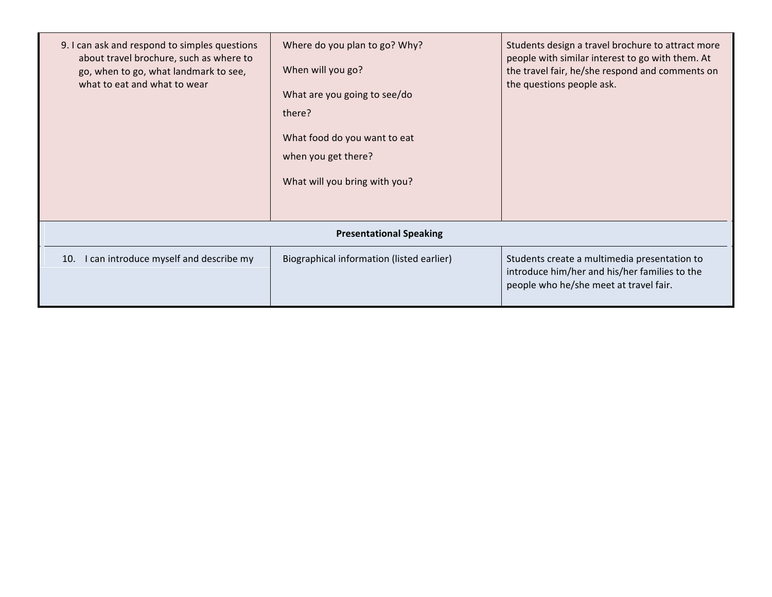| 9. I can ask and respond to simples questions<br>about travel brochure, such as where to<br>go, when to go, what landmark to see,<br>what to eat and what to wear | Where do you plan to go? Why?<br>When will you go?<br>What are you going to see/do<br>there?<br>What food do you want to eat<br>when you get there?<br>What will you bring with you? | Students design a travel brochure to attract more<br>people with similar interest to go with them. At<br>the travel fair, he/she respond and comments on<br>the questions people ask. |
|-------------------------------------------------------------------------------------------------------------------------------------------------------------------|--------------------------------------------------------------------------------------------------------------------------------------------------------------------------------------|---------------------------------------------------------------------------------------------------------------------------------------------------------------------------------------|
| <b>Presentational Speaking</b>                                                                                                                                    |                                                                                                                                                                                      |                                                                                                                                                                                       |
| I can introduce myself and describe my<br>10.                                                                                                                     | Biographical information (listed earlier)                                                                                                                                            | Students create a multimedia presentation to<br>introduce him/her and his/her families to the<br>people who he/she meet at travel fair.                                               |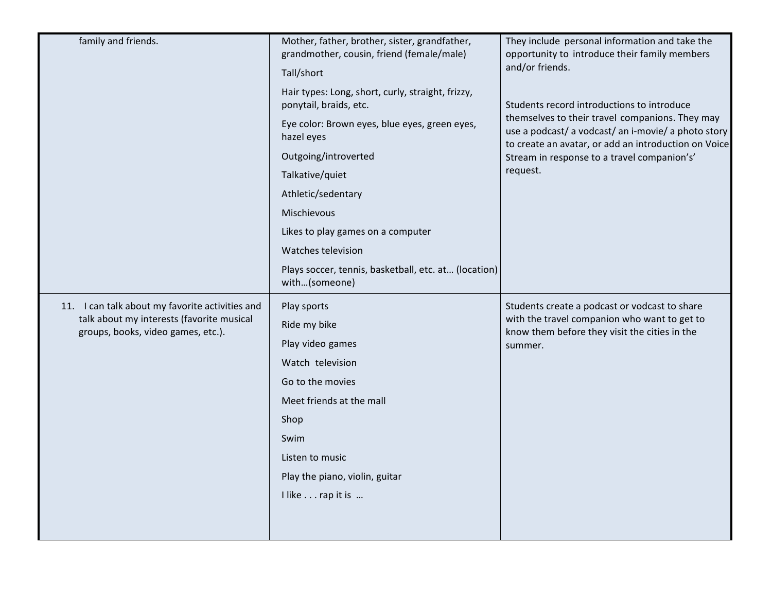| family and friends.                                                             | Mother, father, brother, sister, grandfather,<br>grandmother, cousin, friend (female/male)<br>Tall/short | They include personal information and take the<br>opportunity to introduce their family members<br>and/or friends.<br>Students record introductions to introduce |
|---------------------------------------------------------------------------------|----------------------------------------------------------------------------------------------------------|------------------------------------------------------------------------------------------------------------------------------------------------------------------|
|                                                                                 | Hair types: Long, short, curly, straight, frizzy,<br>ponytail, braids, etc.                              |                                                                                                                                                                  |
|                                                                                 | Eye color: Brown eyes, blue eyes, green eyes,<br>hazel eyes                                              | themselves to their travel companions. They may<br>use a podcast/ a vodcast/ an i-movie/ a photo story<br>to create an avatar, or add an introduction on Voice   |
|                                                                                 | Outgoing/introverted                                                                                     | Stream in response to a travel companion's'                                                                                                                      |
|                                                                                 | Talkative/quiet                                                                                          | request.                                                                                                                                                         |
|                                                                                 | Athletic/sedentary                                                                                       |                                                                                                                                                                  |
|                                                                                 | Mischievous                                                                                              |                                                                                                                                                                  |
|                                                                                 | Likes to play games on a computer                                                                        |                                                                                                                                                                  |
|                                                                                 | Watches television                                                                                       |                                                                                                                                                                  |
|                                                                                 | Plays soccer, tennis, basketball, etc. at (location)<br>with(someone)                                    |                                                                                                                                                                  |
| 11. I can talk about my favorite activities and                                 | Play sports                                                                                              | Students create a podcast or vodcast to share                                                                                                                    |
| talk about my interests (favorite musical<br>groups, books, video games, etc.). | Ride my bike                                                                                             | with the travel companion who want to get to<br>know them before they visit the cities in the                                                                    |
|                                                                                 | Play video games                                                                                         | summer.                                                                                                                                                          |
|                                                                                 | Watch television                                                                                         |                                                                                                                                                                  |
|                                                                                 | Go to the movies                                                                                         |                                                                                                                                                                  |
|                                                                                 | Meet friends at the mall                                                                                 |                                                                                                                                                                  |
|                                                                                 | Shop                                                                                                     |                                                                                                                                                                  |
|                                                                                 | Swim                                                                                                     |                                                                                                                                                                  |
|                                                                                 | Listen to music                                                                                          |                                                                                                                                                                  |
|                                                                                 | Play the piano, violin, guitar                                                                           |                                                                                                                                                                  |
|                                                                                 | I like rap it is                                                                                         |                                                                                                                                                                  |
|                                                                                 |                                                                                                          |                                                                                                                                                                  |
|                                                                                 |                                                                                                          |                                                                                                                                                                  |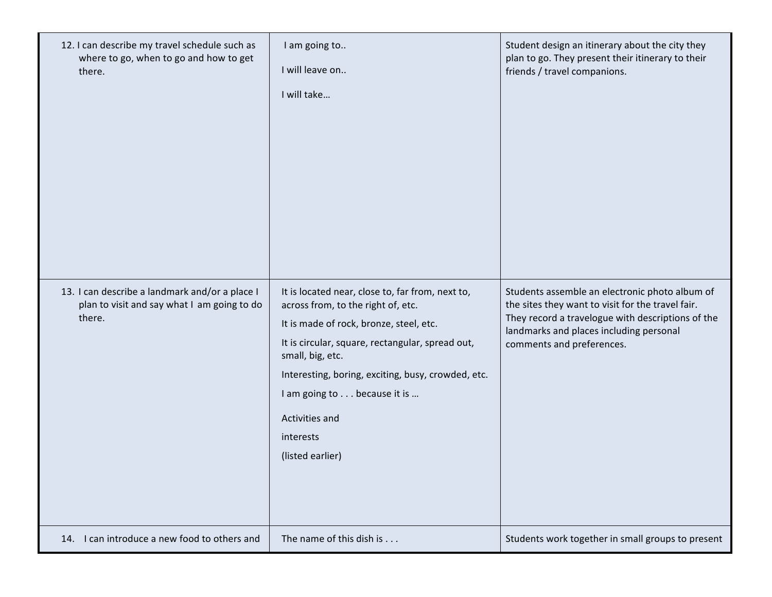| 12. I can describe my travel schedule such as<br>where to go, when to go and how to get<br>there.       | I am going to<br>I will leave on<br>I will take                                                                                                                                                                                                                                                                                                   | Student design an itinerary about the city they<br>plan to go. They present their itinerary to their<br>friends / travel companions.                                                                                             |
|---------------------------------------------------------------------------------------------------------|---------------------------------------------------------------------------------------------------------------------------------------------------------------------------------------------------------------------------------------------------------------------------------------------------------------------------------------------------|----------------------------------------------------------------------------------------------------------------------------------------------------------------------------------------------------------------------------------|
| 13. I can describe a landmark and/or a place I<br>plan to visit and say what I am going to do<br>there. | It is located near, close to, far from, next to,<br>across from, to the right of, etc.<br>It is made of rock, bronze, steel, etc.<br>It is circular, square, rectangular, spread out,<br>small, big, etc.<br>Interesting, boring, exciting, busy, crowded, etc.<br>I am going to because it is<br>Activities and<br>interests<br>(listed earlier) | Students assemble an electronic photo album of<br>the sites they want to visit for the travel fair.<br>They record a travelogue with descriptions of the<br>landmarks and places including personal<br>comments and preferences. |
| 14. I can introduce a new food to others and                                                            | The name of this dish is                                                                                                                                                                                                                                                                                                                          | Students work together in small groups to present                                                                                                                                                                                |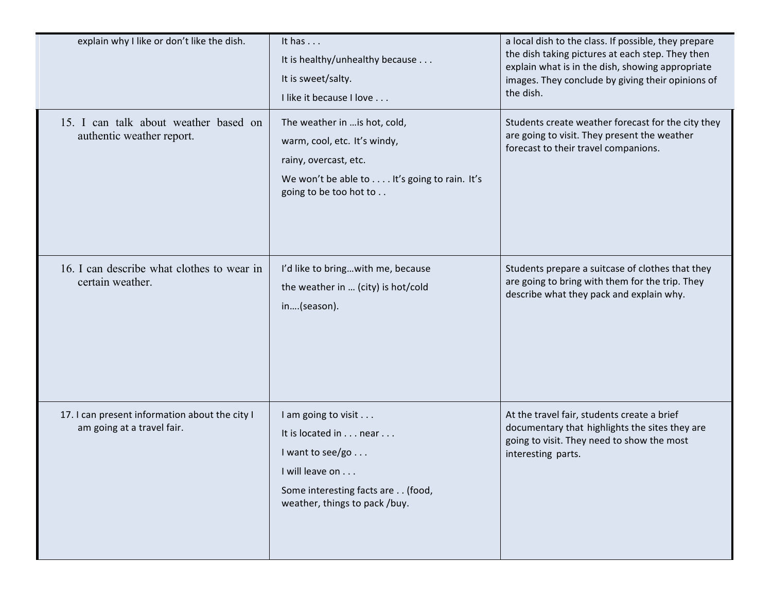| explain why I like or don't like the dish.                                   | It has $\ldots$<br>It is healthy/unhealthy because<br>It is sweet/salty.<br>I like it because I love                                                             | a local dish to the class. If possible, they prepare<br>the dish taking pictures at each step. They then<br>explain what is in the dish, showing appropriate<br>images. They conclude by giving their opinions of<br>the dish. |
|------------------------------------------------------------------------------|------------------------------------------------------------------------------------------------------------------------------------------------------------------|--------------------------------------------------------------------------------------------------------------------------------------------------------------------------------------------------------------------------------|
| 15. I can talk about weather based on<br>authentic weather report.           | The weather in  is hot, cold,<br>warm, cool, etc. It's windy,<br>rainy, overcast, etc.<br>We won't be able to It's going to rain. It's<br>going to be too hot to | Students create weather forecast for the city they<br>are going to visit. They present the weather<br>forecast to their travel companions.                                                                                     |
| 16. I can describe what clothes to wear in<br>certain weather.               | I'd like to bringwith me, because<br>the weather in  (city) is hot/cold<br>in(season).                                                                           | Students prepare a suitcase of clothes that they<br>are going to bring with them for the trip. They<br>describe what they pack and explain why.                                                                                |
| 17. I can present information about the city I<br>am going at a travel fair. | I am going to visit<br>It is located in near<br>I want to see/go<br>I will leave on<br>Some interesting facts are (food,<br>weather, things to pack /buy.        | At the travel fair, students create a brief<br>documentary that highlights the sites they are<br>going to visit. They need to show the most<br>interesting parts.                                                              |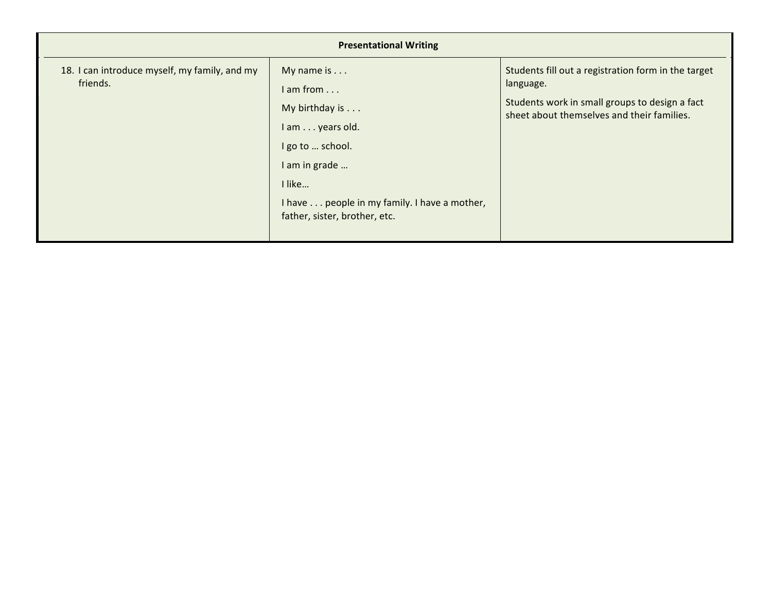| <b>Presentational Writing</b>                             |                                                                                                                                                                                                                 |                                                                                                                                                                  |
|-----------------------------------------------------------|-----------------------------------------------------------------------------------------------------------------------------------------------------------------------------------------------------------------|------------------------------------------------------------------------------------------------------------------------------------------------------------------|
| 18. I can introduce myself, my family, and my<br>friends. | My name is $\dots$<br>$l$ am from $\ldots$<br>My birthday is<br>I am years old.<br>I go to  school.<br>I am in grade<br>I like<br>I have people in my family. I have a mother,<br>father, sister, brother, etc. | Students fill out a registration form in the target<br>language.<br>Students work in small groups to design a fact<br>sheet about themselves and their families. |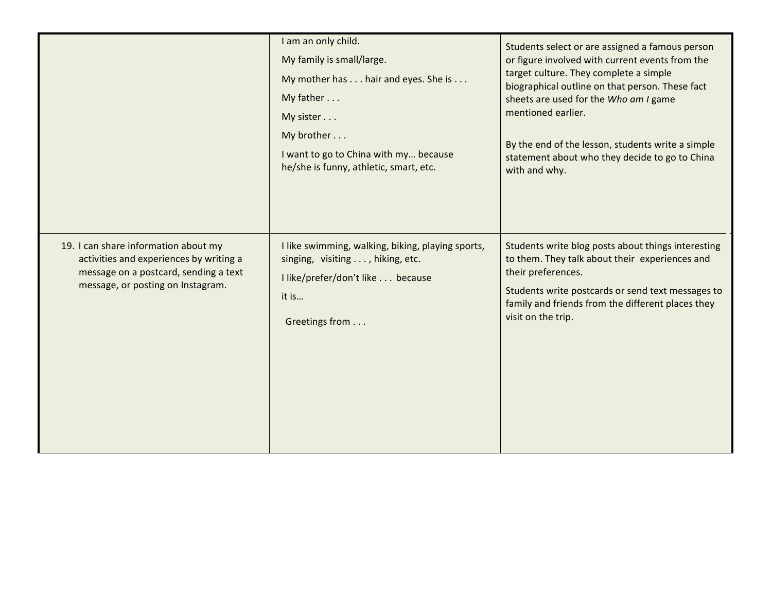|                                                                                                                                                               | I am an only child.<br>My family is small/large.<br>My mother has hair and eyes. She is<br>My father<br>My sister<br>My brother<br>I want to go to China with my because<br>he/she is funny, athletic, smart, etc. | Students select or are assigned a famous person<br>or figure involved with current events from the<br>target culture. They complete a simple<br>biographical outline on that person. These fact<br>sheets are used for the Who am I game<br>mentioned earlier.<br>By the end of the lesson, students write a simple<br>statement about who they decide to go to China<br>with and why. |
|---------------------------------------------------------------------------------------------------------------------------------------------------------------|--------------------------------------------------------------------------------------------------------------------------------------------------------------------------------------------------------------------|----------------------------------------------------------------------------------------------------------------------------------------------------------------------------------------------------------------------------------------------------------------------------------------------------------------------------------------------------------------------------------------|
| 19. I can share information about my<br>activities and experiences by writing a<br>message on a postcard, sending a text<br>message, or posting on Instagram. | I like swimming, walking, biking, playing sports,<br>singing, visiting , hiking, etc.<br>I like/prefer/don't like because<br>it is<br>Greetings from                                                               | Students write blog posts about things interesting<br>to them. They talk about their experiences and<br>their preferences.<br>Students write postcards or send text messages to<br>family and friends from the different places they<br>visit on the trip.                                                                                                                             |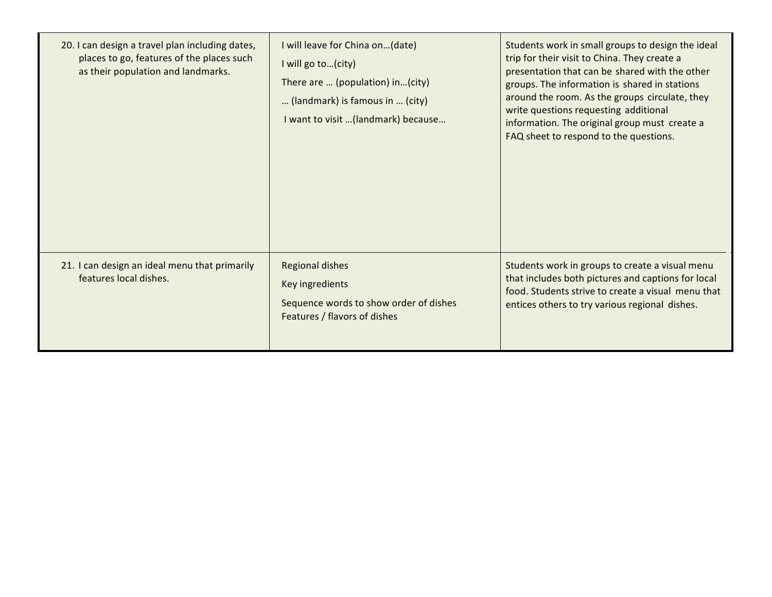| 20. I can design a travel plan including dates,<br>places to go, features of the places such<br>as their population and landmarks. | I will leave for China on(date)<br>I will go to(city)<br>There are  (population) in(city)<br>(landmark) is famous in  (city)<br>I want to visit (landmark) because | Students work in small groups to design the ideal<br>trip for their visit to China. They create a<br>presentation that can be shared with the other<br>groups. The information is shared in stations<br>around the room. As the groups circulate, they<br>write questions requesting additional<br>information. The original group must create a<br>FAQ sheet to respond to the questions. |
|------------------------------------------------------------------------------------------------------------------------------------|--------------------------------------------------------------------------------------------------------------------------------------------------------------------|--------------------------------------------------------------------------------------------------------------------------------------------------------------------------------------------------------------------------------------------------------------------------------------------------------------------------------------------------------------------------------------------|
| 21. I can design an ideal menu that primarily<br>features local dishes.                                                            | Regional dishes<br>Key ingredients<br>Sequence words to show order of dishes<br>Features / flavors of dishes                                                       | Students work in groups to create a visual menu<br>that includes both pictures and captions for local<br>food. Students strive to create a visual menu that<br>entices others to try various regional dishes.                                                                                                                                                                              |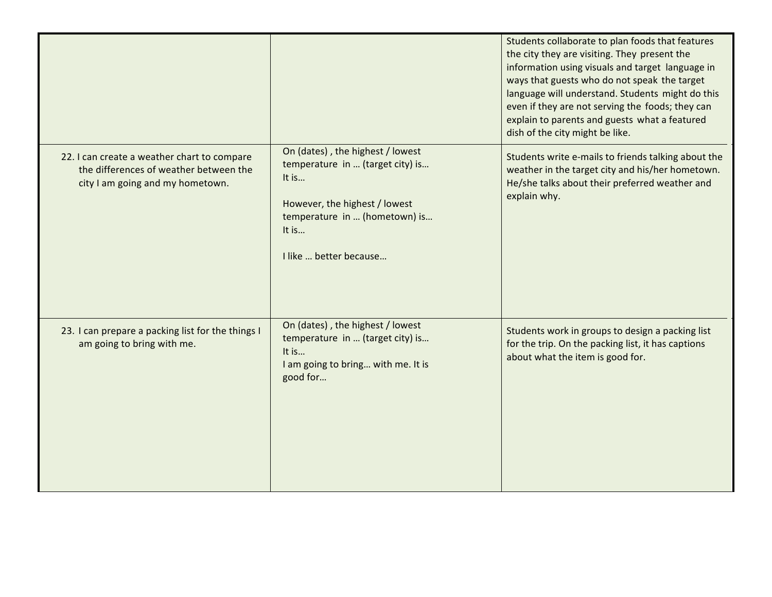|                                                                                                                           |                                                                                                                                                                                    | Students collaborate to plan foods that features<br>the city they are visiting. They present the<br>information using visuals and target language in<br>ways that guests who do not speak the target<br>language will understand. Students might do this<br>even if they are not serving the foods; they can<br>explain to parents and guests what a featured<br>dish of the city might be like. |
|---------------------------------------------------------------------------------------------------------------------------|------------------------------------------------------------------------------------------------------------------------------------------------------------------------------------|--------------------------------------------------------------------------------------------------------------------------------------------------------------------------------------------------------------------------------------------------------------------------------------------------------------------------------------------------------------------------------------------------|
| 22. I can create a weather chart to compare<br>the differences of weather between the<br>city I am going and my hometown. | On (dates), the highest / lowest<br>temperature in  (target city) is<br>It is<br>However, the highest / lowest<br>temperature in  (hometown) is<br>It is<br>I like  better because | Students write e-mails to friends talking about the<br>weather in the target city and his/her hometown.<br>He/she talks about their preferred weather and<br>explain why.                                                                                                                                                                                                                        |
| 23. I can prepare a packing list for the things I<br>am going to bring with me.                                           | On (dates), the highest / lowest<br>temperature in  (target city) is<br>It is<br>I am going to bring with me. It is<br>good for                                                    | Students work in groups to design a packing list<br>for the trip. On the packing list, it has captions<br>about what the item is good for.                                                                                                                                                                                                                                                       |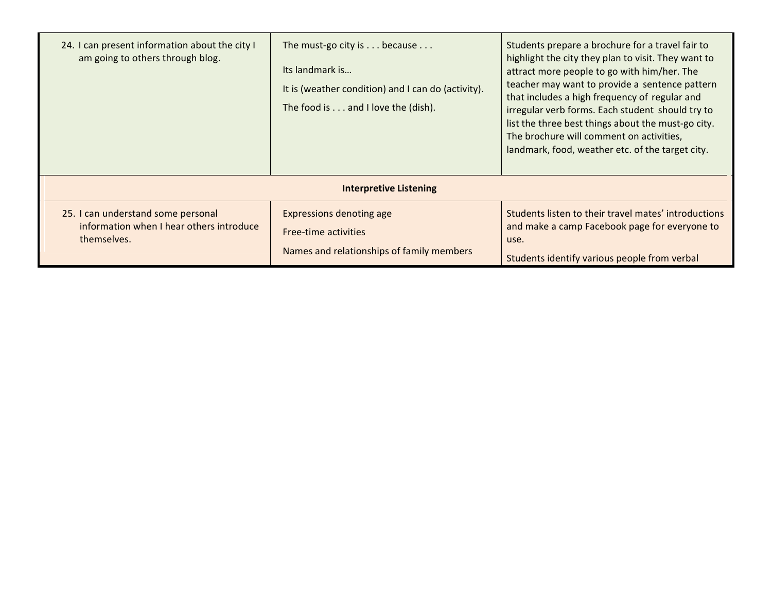| 24. I can present information about the city I<br>am going to others through blog.            | The must-go city is $\dots$ because $\dots$<br>Its landmark is<br>It is (weather condition) and I can do (activity).<br>The food is $\dots$ and I love the (dish). | Students prepare a brochure for a travel fair to<br>highlight the city they plan to visit. They want to<br>attract more people to go with him/her. The<br>teacher may want to provide a sentence pattern<br>that includes a high frequency of regular and<br>irregular verb forms. Each student should try to<br>list the three best things about the must-go city.<br>The brochure will comment on activities,<br>landmark, food, weather etc. of the target city. |
|-----------------------------------------------------------------------------------------------|--------------------------------------------------------------------------------------------------------------------------------------------------------------------|---------------------------------------------------------------------------------------------------------------------------------------------------------------------------------------------------------------------------------------------------------------------------------------------------------------------------------------------------------------------------------------------------------------------------------------------------------------------|
|                                                                                               | <b>Interpretive Listening</b>                                                                                                                                      |                                                                                                                                                                                                                                                                                                                                                                                                                                                                     |
| 25. I can understand some personal<br>information when I hear others introduce<br>themselves. | <b>Expressions denoting age</b><br>Free-time activities<br>Names and relationships of family members                                                               | Students listen to their travel mates' introductions<br>and make a camp Facebook page for everyone to<br>use.<br>Students identify various people from verbal                                                                                                                                                                                                                                                                                                       |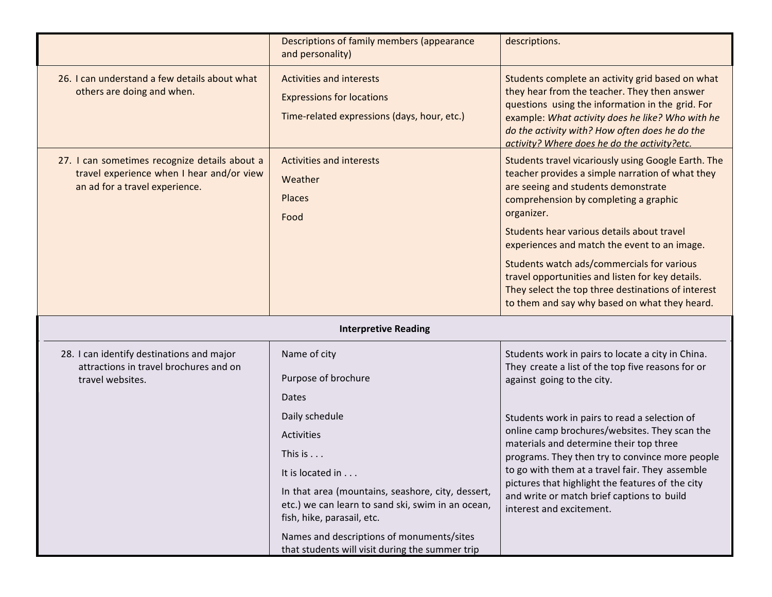|                                                                                                                              | Descriptions of family members (appearance<br>and personality)                                                                                                                                                                                                                                                                                                      | descriptions.                                                                                                                                                                                                                                                                                                                                                                                                                                                                                                         |
|------------------------------------------------------------------------------------------------------------------------------|---------------------------------------------------------------------------------------------------------------------------------------------------------------------------------------------------------------------------------------------------------------------------------------------------------------------------------------------------------------------|-----------------------------------------------------------------------------------------------------------------------------------------------------------------------------------------------------------------------------------------------------------------------------------------------------------------------------------------------------------------------------------------------------------------------------------------------------------------------------------------------------------------------|
| 26. I can understand a few details about what<br>others are doing and when.                                                  | <b>Activities and interests</b><br><b>Expressions for locations</b><br>Time-related expressions (days, hour, etc.)                                                                                                                                                                                                                                                  | Students complete an activity grid based on what<br>they hear from the teacher. They then answer<br>questions using the information in the grid. For<br>example: What activity does he like? Who with he<br>do the activity with? How often does he do the<br>activity? Where does he do the activity?etc.                                                                                                                                                                                                            |
| 27. I can sometimes recognize details about a<br>travel experience when I hear and/or view<br>an ad for a travel experience. | <b>Activities and interests</b><br>Weather<br>Places<br>Food                                                                                                                                                                                                                                                                                                        | Students travel vicariously using Google Earth. The<br>teacher provides a simple narration of what they<br>are seeing and students demonstrate<br>comprehension by completing a graphic<br>organizer.<br>Students hear various details about travel<br>experiences and match the event to an image.<br>Students watch ads/commercials for various<br>travel opportunities and listen for key details.<br>They select the top three destinations of interest<br>to them and say why based on what they heard.          |
|                                                                                                                              | <b>Interpretive Reading</b>                                                                                                                                                                                                                                                                                                                                         |                                                                                                                                                                                                                                                                                                                                                                                                                                                                                                                       |
| 28. I can identify destinations and major<br>attractions in travel brochures and on<br>travel websites.                      | Name of city<br>Purpose of brochure<br><b>Dates</b><br>Daily schedule<br>Activities<br>This is $\ldots$<br>It is located in<br>In that area (mountains, seashore, city, dessert,<br>etc.) we can learn to sand ski, swim in an ocean,<br>fish, hike, parasail, etc.<br>Names and descriptions of monuments/sites<br>that students will visit during the summer trip | Students work in pairs to locate a city in China.<br>They create a list of the top five reasons for or<br>against going to the city.<br>Students work in pairs to read a selection of<br>online camp brochures/websites. They scan the<br>materials and determine their top three<br>programs. They then try to convince more people<br>to go with them at a travel fair. They assemble<br>pictures that highlight the features of the city<br>and write or match brief captions to build<br>interest and excitement. |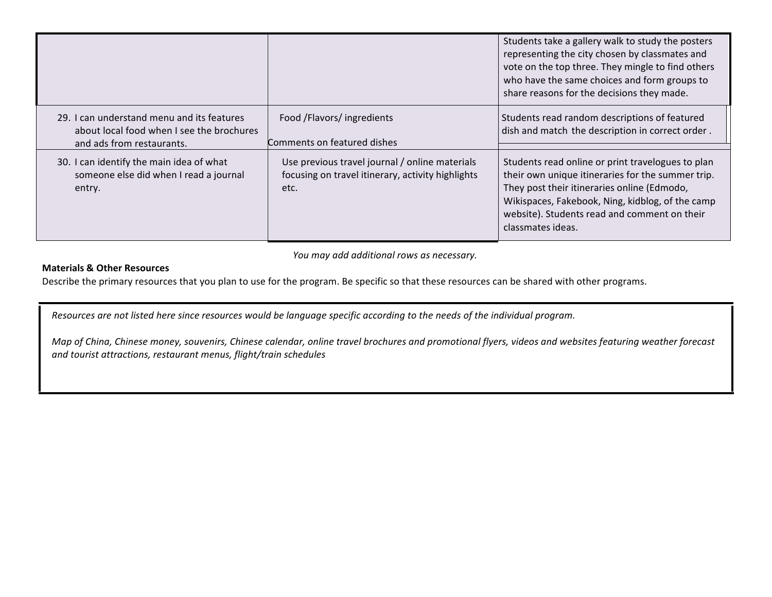|                                                                                                                      |                                                                                                             | Students take a gallery walk to study the posters<br>representing the city chosen by classmates and<br>vote on the top three. They mingle to find others<br>who have the same choices and form groups to<br>share reasons for the decisions they made.                         |
|----------------------------------------------------------------------------------------------------------------------|-------------------------------------------------------------------------------------------------------------|--------------------------------------------------------------------------------------------------------------------------------------------------------------------------------------------------------------------------------------------------------------------------------|
| 29. I can understand menu and its features<br>about local food when I see the brochures<br>and ads from restaurants. | Food / Flavors/ ingredients<br>Comments on featured dishes                                                  | Students read random descriptions of featured<br>dish and match the description in correct order.                                                                                                                                                                              |
| 30. I can identify the main idea of what<br>someone else did when I read a journal<br>entry.                         | Use previous travel journal / online materials<br>focusing on travel itinerary, activity highlights<br>etc. | Students read online or print travelogues to plan<br>their own unique itineraries for the summer trip.<br>They post their itineraries online (Edmodo,<br>Wikispaces, Fakebook, Ning, kidblog, of the camp<br>website). Students read and comment on their<br>classmates ideas. |

*You may add additional rows as necessary.*

# **Materials & Other Resources**

Describe the primary resources that you plan to use for the program. Be specific so that these resources can be shared with other programs.

*Resources are not listed here since resources would be language specific according to the needs of the individual program.*

*Map* of China, Chinese money, souvenirs, Chinese calendar, online travel brochures and promotional flyers, videos and websites featuring weather forecast and tourist attractions, restaurant menus, flight/train schedules